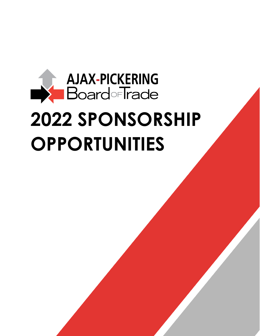# **AJAX-PICKERING**  $\rightarrow$ **Board**-Trade **2022 SPONSORSHIP OPPORTUNITIES**

*For more information about APBOT sponsorship opportunities, contact Andra Thurton at [athurton@apboardoftrade.com](mailto:athurton@apboardoftrade.com)*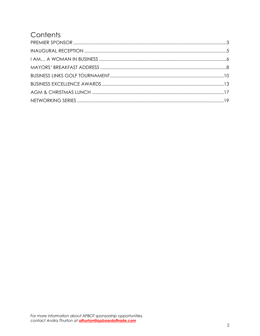### Contents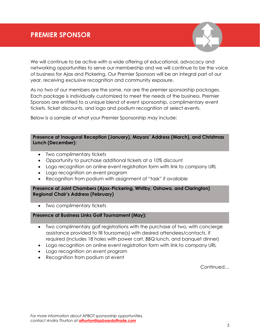<span id="page-2-0"></span>We will continue to be active with a wide offering of educational, advocacy and networking opportunities to serve our membership and we will continue to be the voice of business for Ajax and Pickering. Our Premier Sponsors will be an integral part of our year, receiving exclusive recognition and community exposure.

As no two of our members are the same, nor are the premier sponsorship packages. Each package is individually customized to meet the needs of the business. Premier Sponsors are entitled to a unique blend of event sponsorship, complimentary event tickets, ticket discounts, and logo and podium recognition at select events.

Below is a sample of what your Premier Sponsorship may include:

#### **Presence at Inaugural Reception (January), Mayors' Address (March), and Christmas Lunch (December):**

- Two complimentary tickets
- Opportunity to purchase additional tickets at a 10% discount
- Logo recognition on online event registration form with link to company URL
- Logo recognition on event program
- Recognition from podium with assignment of "task" if available

#### **Presence at Joint Chambers (Ajax-Pickering, Whitby, Oshawa, and Clarington) Regional Chair's Address (February)**

• Two complimentary tickets

#### **Presence at Business Links Golf Tournament (May):**

- Two complimentary golf registrations with the purchase of two, with concierge assistance provided to fill foursome(s) with desired attendees/contacts, if required (includes 18 holes with power cart, BBQ lunch, and banquet dinner)
- Logo recognition on online event registration form with link to company URL
- Logo recognition on event program
- Recognition from podium at event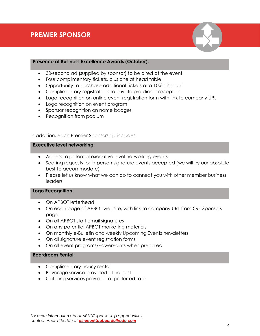

#### **Presence at Business Excellence Awards (October):**

- 30-second ad (supplied by sponsor) to be aired at the event
- Four complimentary tickets, plus one at head table
- Opportunity to purchase additional tickets at a 10% discount
- Complimentary registrations to private pre-dinner reception
- Logo recognition on online event registration form with link to company URL
- Logo recognition on event program
- Sponsor recognition on name badges
- Recognition from podium

In addition, each Premier Sponsorship includes:

#### **Executive level networking:**

- Access to potential executive level networking events
- Seating requests for in-person signature events accepted (we will try our absolute best to accommodate)
- Please let us know what we can do to connect you with other member business leaders

#### **Logo Recognition:**

- On APBOT letterhead
- On each page of APBOT website, with link to company URL from Our Sponsors page
- On all APBOT staff email signatures
- On any potential APBOT marketing materials
- On monthly e-Bulletin and weekly Upcoming Events newsletters
- On all signature event registration forms
- On all event programs/PowerPoints when prepared

#### **Boardroom Rental:**

- Complimentary hourly rental
- Beverage service provided at no cost
- Catering services provided at preferred rate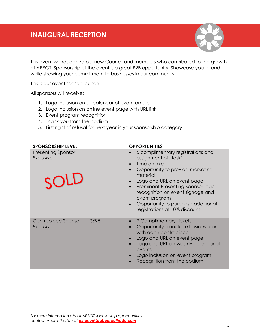### <span id="page-4-0"></span>**INAUGURAL RECEPTION**



This event will recognize our new Council and members who contributed to the growth of APBOT. Sponsorship of the event is a great B2B opportunity. Showcase your brand while showing your commitment to businesses in our community.

This is our event season launch.

All sponsors will receive:

- 1. Logo inclusion on all calendar of event emails
- 2. Logo inclusion on online event page with URL link
- 3. Event program recognition
- 4. Thank you from the podium
- 5. First right of refusal for next year in your sponsorship category

| <b>SPONSORSHIP LEVEL</b>                       | <b>OPPORTUNITIES</b>                                                                                                                                                                                                                                                                                                                              |
|------------------------------------------------|---------------------------------------------------------------------------------------------------------------------------------------------------------------------------------------------------------------------------------------------------------------------------------------------------------------------------------------------------|
| <b>Presenting Sponsor</b><br>Exclusive<br>SOLD | 5 complimentary registrations and<br>$\bullet$<br>assignment of "task"<br>Time on mic<br>Opportunity to provide marketing<br>material<br>Logo and URL on event page<br>Prominent Presenting Sponsor logo<br>recognition on event signage and<br>event program<br>Opportunity to purchase additional<br>$\bullet$<br>registrations at 10% discount |
| Centrepiece Sponsor<br>\$695<br>Exclusive      | 2 Complimentary tickets<br>Opportunity to include business card<br>with each centrepiece<br>Logo and URL on event page<br>Logo and URL on weekly calendar of<br>events<br>Logo inclusion on event program<br>Recognition from the podium                                                                                                          |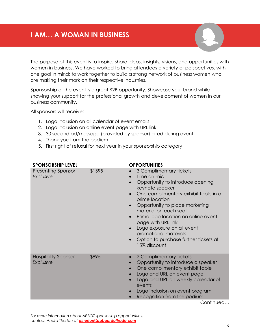### <span id="page-5-0"></span>**I AM… A WOMAN IN BUSINESS**

The purpose of this event is to inspire, share ideas, insights, visions, and opportunities with women in business. We have worked to bring attendees a variety of perspectives, with one goal in mind; to work together to build a strong network of business women who are making their mark on their respective industries.

Sponsorship of the event is a great B2B opportunity. Showcase your brand while showing your support for the professional growth and development of women in our business community.

All sponsors will receive:

- 1. Logo inclusion on all calendar of event emails
- 2. Logo inclusion on online event page with URL link
- 3. 30 second ad/message (provided by sponsor) aired during event
- 4. Thank you from the podium
- 5. First right of refusal for next year in your sponsorship category

| \$1595<br><b>Presenting Sponsor</b><br>Exclusive        |           | 3 Complimentary tickets<br>Time on mic                                                                                                                                                                                                                                                                                                                |
|---------------------------------------------------------|-----------|-------------------------------------------------------------------------------------------------------------------------------------------------------------------------------------------------------------------------------------------------------------------------------------------------------------------------------------------------------|
|                                                         |           | Opportunity to introduce opening<br>keynote speaker<br>One complimentary exhibit table in a<br>prime location<br>Opportunity to place marketing<br>material on each seat<br>Prime logo location on online event<br>page with URL link<br>Logo exposure on all event<br>promotional materials<br>Option to purchase further tickets at<br>15% discount |
| \$895<br><b>Hospitality Sponsor</b><br><b>Exclusive</b> | $\bullet$ | 2 Complimentary tickets<br>Opportunity to introduce a speaker<br>One complimentary exhibit table<br>Logo and URL on event page<br>Logo and URL on weekly calendar of<br>events<br>Logo inclusion on event program<br>Recognition from the podium<br>Continued                                                                                         |

*For more information about APBOT sponsorship opportunities, contact Andra Thurton at [athurton@apboardoftrade.com](mailto:athurton@apboardoftrade.com)*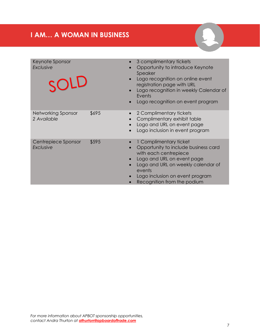## **I AM… A WOMAN IN BUSINESS**

| Keynote Sponsor<br>Exclusive<br>SOLD |       | 3 complimentary tickets<br>Opportunity to introduce Keynote<br>Speaker<br>Logo recognition on online event<br>registration page with URL<br>Logo recognition in weekly Calendar of<br>Events<br>Logo recognition on event program       |
|--------------------------------------|-------|-----------------------------------------------------------------------------------------------------------------------------------------------------------------------------------------------------------------------------------------|
| Networking Sponsor<br>2 Available    | \$695 | 2 Complimentary tickets<br>Complimentary exhibit table<br>Logo and URL on event page<br>Logo inclusion in event program                                                                                                                 |
| Centrepiece Sponsor<br>Exclusive     | \$595 | 1 Complimentary ticket<br>Opportunity to include business card<br>with each centrepiece<br>Logo and URL on event page<br>Logo and URL on weekly calendar of<br>events<br>Logo inclusion on event program<br>Recognition from the podium |

B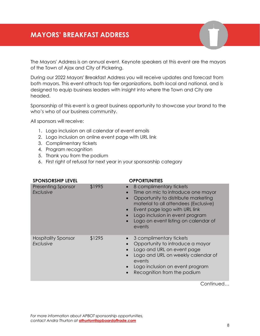### <span id="page-7-0"></span>**MAYORS' BREAKFAST ADDRESS**

The Mayors' Address is an annual event. Keynote speakers at this event are the mayors of the Town of Ajax and City of Pickering.

During our 2022 Mayors' Breakfast Address you will receive updates and forecast from both mayors. This event attracts top tier organizations, both local and national, and is designed to equip business leaders with insight into where the Town and City are headed.

Sponsorship of this event is a great business opportunity to showcase your brand to the who's who of our business community.

All sponsors will receive:

- 1. Logo inclusion on all calendar of event emails
- 2. Logo inclusion on online event page with URL link
- 3. Complimentary tickets
- 4. Program recognition
- 5. Thank you from the podium
- 6. First right of refusal for next year in your sponsorship category

| <b>SPONSORSHIP LEVEL</b>                      |        | <b>OPPORTUNITIES</b>                                                                                                                                                                                                                                                |
|-----------------------------------------------|--------|---------------------------------------------------------------------------------------------------------------------------------------------------------------------------------------------------------------------------------------------------------------------|
| <b>Presenting Sponsor</b><br><b>Exclusive</b> | \$1995 | 8 complimentary tickets<br>Time on mic to introduce one mayor<br>Opportunity to distribute marketing<br>material to all attendees (Exclusive)<br>Event page logo with URL link<br>Logo inclusion in event program<br>Logo on event listing on calendar of<br>events |
| <b>Hospitality Sponsor</b><br>Exclusive       | \$1295 | 3 complimentary tickets<br>Opportunity to introduce a mayor<br>Logo and URL on event page<br>Logo and URL on weekly calendar of<br>events<br>Logo inclusion on event program<br>Recognition from the podium                                                         |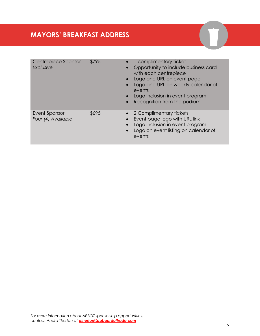| Centrepiece Sponsor<br>Exclusive    | \$795 | 1 complimentary ticket<br>$\bullet$<br>Opportunity to include business card<br>$\bullet$<br>with each centrepiece<br>• Logo and URL on event page<br>Logo and URL on weekly calendar of<br>events<br>Logo inclusion in event program<br>$\bullet$<br>Recognition from the podium<br>$\bullet$ |
|-------------------------------------|-------|-----------------------------------------------------------------------------------------------------------------------------------------------------------------------------------------------------------------------------------------------------------------------------------------------|
| Event Sponsor<br>Four (4) Available | \$695 | • 2 Complimentary tickets<br>Event page logo with URL link<br>Logo inclusion in event program<br>Logo on event listing on calendar of<br>events                                                                                                                                               |

**COD**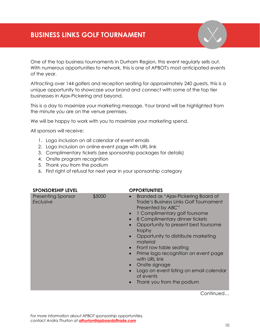<span id="page-9-0"></span>One of the top business tournaments in Durham Region, this event regularly sells out. With numerous opportunities to network, this is one of APBOT's most anticipated events of the year.

Attracting over 144 golfers and reception seating for approximately 240 guests, this is a unique opportunity to showcase your brand and connect with some of the top tier businesses in Ajax-Pickering and beyond.

This is a day to maximize your marketing message. Your brand will be highlighted from the minute you are on the venue premises.

We will be happy to work with you to maximize your marketing spend.

All sponsors will receive:

- 1. Logo inclusion on all calendar of event emails
- 2. Logo inclusion on online event page with URL link
- 3. Complimentary tickets (see sponsorship packages for details)
- 4. Onsite program recognition
- 5. Thank you from the podium
- 6. First right of refusal for next year in your sponsorship category

| <b>SPONSORSHIP LEVEL</b>               |        | <b>OPPORTUNITIES</b>                                                                                                                                                                                                                                                                                                                                                                                                                                                                                                                                       |
|----------------------------------------|--------|------------------------------------------------------------------------------------------------------------------------------------------------------------------------------------------------------------------------------------------------------------------------------------------------------------------------------------------------------------------------------------------------------------------------------------------------------------------------------------------------------------------------------------------------------------|
| <b>Presenting Sponsor</b><br>Exclusive | \$5000 | Branded as "Ajax-Pickering Board of<br>$\bullet$<br><b>Trade's Business Links Golf Tournament</b><br>Presented by ABC"<br>1 Complimentary golf foursome<br>$\bullet$<br>8 Complimentary dinner tickets<br>Opportunity to present best foursome<br>trophy<br>Opportunity to distribute marketing<br>$\bullet$<br>material<br>Front row table seating<br>$\bullet$<br>Prime logo recognition on event page<br>$\bullet$<br>with URL link<br>Onsite signage<br>$\bullet$<br>Logo on event listing on email calendar<br>of events<br>Thank you from the podium |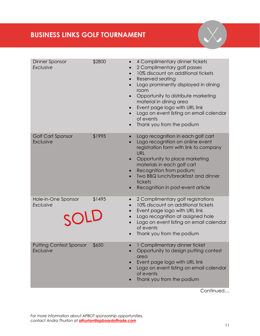### **BUSINESS LINKS GOLF TOURNAMENT**

| Dinner Sponsor<br>Exclusive                        | \$2800<br>$\bullet$<br>$\bullet$<br>$\bullet$                           | 4 Complimentary dinner tickets<br>2 Complimentary golf passes<br>10% discount on additional tickets<br>Reserved seating<br>Logo prominently displayed in dining<br>room<br>Opportunity to distribute marketing<br>material in dining area<br>Event page logo with URL link<br>Logo on event listing on email calendar<br>of events<br>Thank you from the podium |
|----------------------------------------------------|-------------------------------------------------------------------------|-----------------------------------------------------------------------------------------------------------------------------------------------------------------------------------------------------------------------------------------------------------------------------------------------------------------------------------------------------------------|
| Golf Cart Sponsor<br>Exclusive                     | \$1995<br>$\bullet$                                                     | Logo recognition in each golf cart<br>Logo recognition on online event<br>registration form with link to company<br><b>URL</b><br>Opportunity to place marketing<br>materials in each golf cart<br>Recognition from podium<br>Two BBQ lunch/breakfast and dinner<br>tickets<br>Recognition in post-event article                                                |
| Hole-in-One Sponsor<br>Exclusive<br>SOLD           | \$1495<br>$\bullet$<br>$\bullet$<br>$\bullet$<br>$\bullet$<br>$\bullet$ | 2 Complimentary golf registrations<br>10% discount on additional tickets<br>Event page logo with URL link<br>Logo recognition at assigned hole<br>Logo on event listing on email calendar<br>of events<br>Thank you from the podium                                                                                                                             |
| <b>Putting Contest Sponsor</b><br><b>Exclusive</b> | \$650<br>$\bullet$                                                      | 1 Complimentary dinner ticket<br>Opportunity to design putting contest<br>area<br>Event page logo with URL link<br>Logo on event listing on email calendar<br>of events<br>Thank you from the podium                                                                                                                                                            |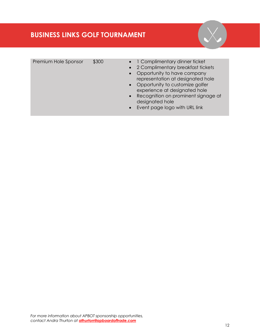### **BUSINESS LINKS GOLF TOURNAMENT**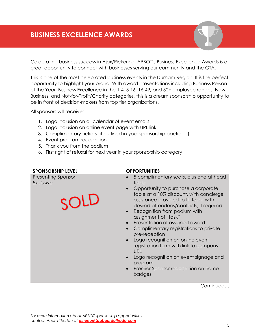### <span id="page-12-0"></span>**BUSINESS EXCELLENCE AWARDS**

Celebrating business success in Ajax/Pickering, APBOT's Business Excellence Awards is a great opportunity to connect with businesses serving our community and the GTA.

This is one of the most celebrated business events in the Durham Region. It is the perfect opportunity to highlight your brand. With award presentations including Business Person of the Year, Business Excellence in the 1-4, 5-16, 16-49, and 50+ employee ranges, New Business, and Not-for-Profit/Charity categories, this is a dream sponsorship opportunity to be in front of decision-makers from top tier organizations.

All sponsors will receive:

- 1. Logo inclusion on all calendar of event emails
- 2. Logo inclusion on online event page with URL link
- 3. Complimentary tickets (if outlined in your sponsorship package)
- 4. Event program recognition
- 5. Thank you from the podium
- 6. First right of refusal for next year in your sponsorship category

#### **SPONSORSHIP LEVEL OPPORTUNITIES**

Presenting Sponsor *Exclusive*

- 5 complimentary seats, plus one at head table
- Opportunity to purchase a corporate table at a 10% discount, with concierge assistance provided to fill table with desired attendees/contacts, if required
- Recognition from podium with assignment of "task"
- Presentation of assigned award
- Complimentary registrations to private pre-reception
- Logo recognition on online event registration form with link to company URL
- Logo recognition on event signage and program
- Premier Sponsor recognition on name badges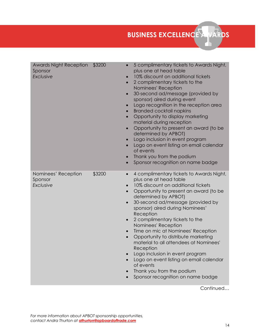BUSINESS EXCELLENCE AWARDS

| <b>Awards Night Reception</b><br>Sponsor<br>Exclusive | \$3200 | 5 complimentary tickets to Awards Night,<br>$\bullet$<br>plus one at head table<br>10% discount on additional tickets<br>2 complimentary tickets to the<br>Nominees' Reception<br>30-second ad/message (provided by<br>$\bullet$<br>sponsor) aired during event<br>Logo recognition in the reception area<br><b>Branded cocktail napkins</b><br>Opportunity to display marketing<br>$\bullet$<br>material during reception<br>Opportunity to present an award (to be<br>$\bullet$<br>determined by APBOT)<br>Logo inclusion in event program<br>$\bullet$<br>Logo on event listing on email calendar<br>of events<br>Thank you from the podium<br>Sponsor recognition on name badge<br>$\bullet$        |
|-------------------------------------------------------|--------|---------------------------------------------------------------------------------------------------------------------------------------------------------------------------------------------------------------------------------------------------------------------------------------------------------------------------------------------------------------------------------------------------------------------------------------------------------------------------------------------------------------------------------------------------------------------------------------------------------------------------------------------------------------------------------------------------------|
| Nominees' Reception<br>Sponsor<br>Exclusive           | \$3200 | 4 complimentary tickets to Awards Night,<br>$\bullet$<br>plus one at head table<br>10% discount on additional tickets<br>$\bullet$<br>Opportunity to present an award (to be<br>$\bullet$<br>determined by APBOT)<br>30-second ad/message (provided by<br>$\bullet$<br>sponsor) aired during Nominees'<br>Reception<br>2 complimentary tickets to the<br>Nominees' Reception<br>Time on mic at Nominees' Reception<br>Opportunity to distribute marketing<br>$\bullet$<br>material to all attendees at Nominees'<br>Reception<br>Logo inclusion in event program<br>Logo on event listing on email calendar<br>of events<br>Thank you from the podium<br>Sponsor recognition on name badge<br>Continued |

*For more information about APBOT sponsorship opportunities, contact Andra Thurton at [athurton@apboardoftrade.com](mailto:athurton@apboardoftrade.com)*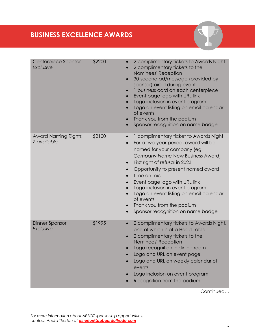| Centerpiece Sponsor<br><b>Exclusive</b>   | \$2200 | 2 complimentary tickets to Awards Night<br>$\bullet$<br>2 complimentary tickets to the<br>Nominees' Reception<br>30-second ad/message (provided by<br>$\bullet$<br>sponsor) aired during event<br>1 business card on each centerpiece<br>Event page logo with URL link<br>Logo inclusion in event program<br>Logo on event listing on email calendar<br>of events<br>Thank you from the podium<br>Sponsor recognition on name badge<br>$\bullet$                              |
|-------------------------------------------|--------|-------------------------------------------------------------------------------------------------------------------------------------------------------------------------------------------------------------------------------------------------------------------------------------------------------------------------------------------------------------------------------------------------------------------------------------------------------------------------------|
| <b>Award Naming Rights</b><br>7 available | \$2100 | 1 complimentary ticket to Awards Night<br>For a two-year period, award will be<br>$\bullet$<br>named for your company (eg.<br>Company Name New Business Award)<br>First right of refusal in 2023<br>$\bullet$<br>Opportunity to present named award<br>Time on mic<br>Event page logo with URL link<br>Logo inclusion in event program<br>Logo on event listing on email calendar<br>of events<br>Thank you from the podium<br>Sponsor recognition on name badge<br>$\bullet$ |
| Dinner Sponsor<br><b>Exclusive</b>        | \$1995 | 2 complimentary tickets to Awards Night,<br>$\bullet$<br>one of which is at a Head Table<br>2 complimentary tickets to the<br>Nominees' Reception<br>Logo recognition in dining room<br>Logo and URL on event page<br>Logo and URL on weekly calendar of<br>events<br>Logo inclusion on event program<br>Recognition from the podium                                                                                                                                          |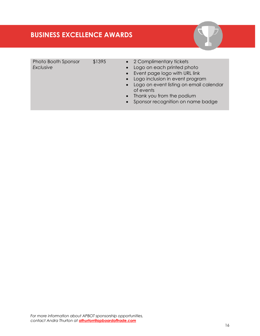#### **BUSINESS EXCELLENCE AWARDS**

Photo Booth Sponsor *Exclusive*

\$1395 • 2 Complimentary tickets

- Logo on each printed photo
- Event page logo with URL link
- Logo inclusion in event program
- Logo on event listing on email calendar of events
- Thank you from the podium
- Sponsor recognition on name badge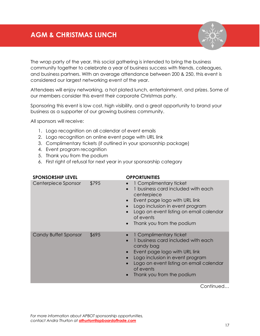### <span id="page-16-0"></span>**AGM & CHRISTMAS LUNCH**



The wrap party of the year, this social gathering is intended to bring the business community together to celebrate a year of business success with friends, colleagues, and business partners. With an average attendance between 200 & 250, this event is considered our largest networking event of the year.

Attendees will enjoy networking, a hot plated lunch, entertainment, and prizes. Some of our members consider this event their corporate Christmas party.

Sponsoring this event is low cost, high visibility, and a great opportunity to brand your business as a supporter of our growing business community.

All sponsors will receive:

- 1. Logo recognition on all calendar of event emails
- 2. Logo recognition on online event page with URL link
- 3. Complimentary tickets (if outlined in your sponsorship package)
- 4. Event program recognition
- 5. Thank you from the podium
- 6. First right of refusal for next year in your sponsorship category

| <b>SPONSORSHIP LEVEL</b>    |       | <b>OPPORTUNITIES</b>                                                                                                                                                                                                                                           |
|-----------------------------|-------|----------------------------------------------------------------------------------------------------------------------------------------------------------------------------------------------------------------------------------------------------------------|
| Centerpiece Sponsor         | \$795 | 1 Complimentary ticket<br>1 business card included with each<br>centerpiece<br>Event page logo with URL link<br>$\bullet$<br>Logo inclusion in event program<br>Logo on event listing on email calendar<br>of events<br>Thank you from the podium<br>$\bullet$ |
| <b>Candy Buffet Sponsor</b> | \$695 | 1 Complimentary ticket<br>business card included with each<br>$\bullet$<br>candy bag<br>Event page logo with URL link<br>Logo inclusion in event program<br>Logo on event listing on email calendar<br>of events<br>Thank you from the podium                  |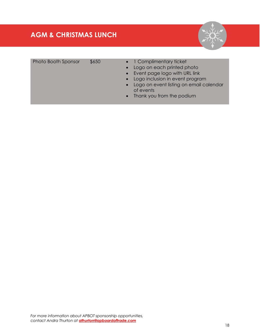### **AGM & CHRISTMAS LUNCH**



| Photo Booth Sponsor | \$6. |
|---------------------|------|
|---------------------|------|

- 50 **•** 1 Complimentary ticket
	- Logo on each printed photo
	- Event page logo with URL link
	- Logo inclusion in event program
	- Logo on event listing on email calendar of events
	- Thank you from the podium